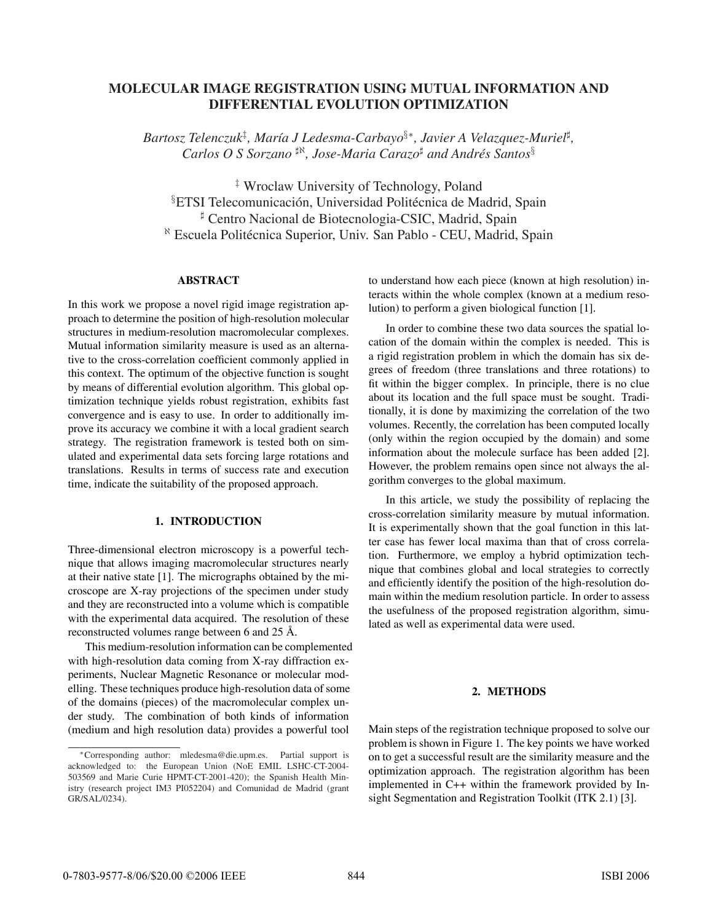# **MOLECULAR IMAGE REGISTRATION USING MUTUAL INFORMATION AND DIFFERENTIAL EVOLUTION OPTIMIZATION**

*Bartosz Telenczuk*‡ *, Mar´ıa J Ledesma-Carbayo*§∗*, Javier A Velazquez-Muriel , Carlos O S Sorzano*<sup>#8</sup>, *Jose-Maria Carazo*<sup>‡</sup> and Andrés Santos<sup>§</sup>

‡ Wroclaw University of Technology, Poland <sup>§</sup>ETSI Telecomunicación, Universidad Politécnica de Madrid, Spain Centro Nacional de Biotecnologia-CSIC, Madrid, Spain <sup>N</sup> Escuela Politécnica Superior, Univ. San Pablo - CEU, Madrid, Spain

## **ABSTRACT**

In this work we propose a novel rigid image registration approach to determine the position of high-resolution molecular structures in medium-resolution macromolecular complexes. Mutual information similarity measure is used as an alternative to the cross-correlation coefficient commonly applied in this context. The optimum of the objective function is sought by means of differential evolution algorithm. This global optimization technique yields robust registration, exhibits fast convergence and is easy to use. In order to additionally improve its accuracy we combine it with a local gradient search strategy. The registration framework is tested both on simulated and experimental data sets forcing large rotations and translations. Results in terms of success rate and execution time, indicate the suitability of the proposed approach.

#### **1. INTRODUCTION**

Three-dimensional electron microscopy is a powerful technique that allows imaging macromolecular structures nearly at their native state [1]. The micrographs obtained by the microscope are X-ray projections of the specimen under study and they are reconstructed into a volume which is compatible with the experimental data acquired. The resolution of these reconstructed volumes range between 6 and  $25 \text{ Å}$ .

This medium-resolution information can be complemented with high-resolution data coming from X-ray diffraction experiments, Nuclear Magnetic Resonance or molecular modelling. These techniques produce high-resolution data of some of the domains (pieces) of the macromolecular complex under study. The combination of both kinds of information (medium and high resolution data) provides a powerful tool

to understand how each piece (known at high resolution) interacts within the whole complex (known at a medium resolution) to perform a given biological function [1].

In order to combine these two data sources the spatial location of the domain within the complex is needed. This is a rigid registration problem in which the domain has six degrees of freedom (three translations and three rotations) to fit within the bigger complex. In principle, there is no clue about its location and the full space must be sought. Traditionally, it is done by maximizing the correlation of the two volumes. Recently, the correlation has been computed locally (only within the region occupied by the domain) and some information about the molecule surface has been added [2]. However, the problem remains open since not always the algorithm converges to the global maximum.

In this article, we study the possibility of replacing the cross-correlation similarity measure by mutual information. It is experimentally shown that the goal function in this latter case has fewer local maxima than that of cross correlation. Furthermore, we employ a hybrid optimization technique that combines global and local strategies to correctly and efficiently identify the position of the high-resolution domain within the medium resolution particle. In order to assess the usefulness of the proposed registration algorithm, simulated as well as experimental data were used.

### **2. METHODS**

Main steps of the registration technique proposed to solve our problem is shown in Figure 1. The key points we have worked on to get a successful result are the similarity measure and the optimization approach. The registration algorithm has been implemented in C++ within the framework provided by Insight Segmentation and Registration Toolkit (ITK 2.1) [3].

<sup>∗</sup>Corresponding author: mledesma@die.upm.es. Partial support is acknowledged to: the European Union (NoE EMIL LSHC-CT-2004- 503569 and Marie Curie HPMT-CT-2001-420); the Spanish Health Ministry (research project IM3 PI052204) and Comunidad de Madrid (grant GR/SAL/0234).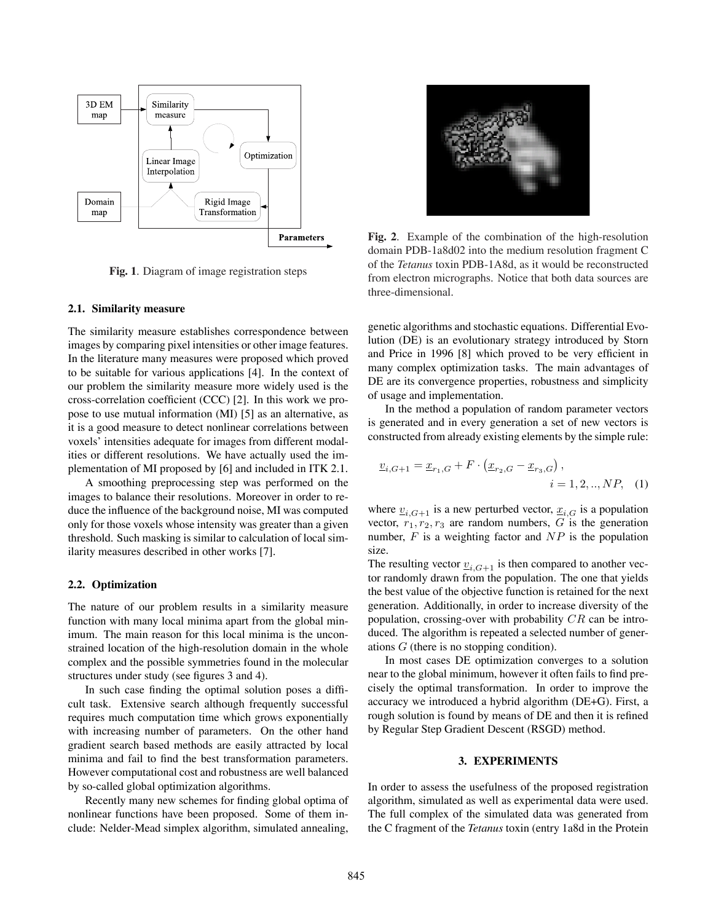

**Fig. 1**. Diagram of image registration steps

#### **2.1. Similarity measure**

The similarity measure establishes correspondence between images by comparing pixel intensities or other image features. In the literature many measures were proposed which proved to be suitable for various applications [4]. In the context of our problem the similarity measure more widely used is the cross-correlation coefficient (CCC) [2]. In this work we propose to use mutual information (MI) [5] as an alternative, as it is a good measure to detect nonlinear correlations between voxels' intensities adequate for images from different modalities or different resolutions. We have actually used the implementation of MI proposed by [6] and included in ITK 2.1.

A smoothing preprocessing step was performed on the images to balance their resolutions. Moreover in order to reduce the influence of the background noise, MI was computed only for those voxels whose intensity was greater than a given threshold. Such masking is similar to calculation of local similarity measures described in other works [7].

#### **2.2. Optimization**

The nature of our problem results in a similarity measure function with many local minima apart from the global minimum. The main reason for this local minima is the unconstrained location of the high-resolution domain in the whole complex and the possible symmetries found in the molecular structures under study (see figures 3 and 4).

In such case finding the optimal solution poses a difficult task. Extensive search although frequently successful requires much computation time which grows exponentially with increasing number of parameters. On the other hand gradient search based methods are easily attracted by local minima and fail to find the best transformation parameters. However computational cost and robustness are well balanced by so-called global optimization algorithms.

Recently many new schemes for finding global optima of nonlinear functions have been proposed. Some of them include: Nelder-Mead simplex algorithm, simulated annealing,



**Fig. 2**. Example of the combination of the high-resolution domain PDB-1a8d02 into the medium resolution fragment C of the *Tetanus* toxin PDB-1A8d, as it would be reconstructed from electron micrographs. Notice that both data sources are three-dimensional.

genetic algorithms and stochastic equations. Differential Evolution (DE) is an evolutionary strategy introduced by Storn and Price in 1996 [8] which proved to be very efficient in many complex optimization tasks. The main advantages of DE are its convergence properties, robustness and simplicity of usage and implementation.

In the method a population of random parameter vectors is generated and in every generation a set of new vectors is constructed from already existing elements by the simple rule:

$$
\underline{v}_{i,G+1} = \underline{x}_{r_1,G} + F \cdot (\underline{x}_{r_2,G} - \underline{x}_{r_3,G}),
$$
  
\n $i = 1, 2, ..., NP,$  (1)

where  $\underline{v}_{i,G+1}$  is a new perturbed vector,  $\underline{x}_{i,G}$  is a population vector,  $r_1, r_2, r_3$  are random numbers, G is the generation number,  $F$  is a weighting factor and  $NP$  is the population size.

The resulting vector  $\underline{v}_{i,G+1}$  is then compared to another vector randomly drawn from the population. The one that yields the best value of the objective function is retained for the next generation. Additionally, in order to increase diversity of the population, crossing-over with probability  $CR$  can be introduced. The algorithm is repeated a selected number of generations G (there is no stopping condition).

In most cases DE optimization converges to a solution near to the global minimum, however it often fails to find precisely the optimal transformation. In order to improve the accuracy we introduced a hybrid algorithm (DE+G). First, a rough solution is found by means of DE and then it is refined by Regular Step Gradient Descent (RSGD) method.

#### **3. EXPERIMENTS**

In order to assess the usefulness of the proposed registration algorithm, simulated as well as experimental data were used. The full complex of the simulated data was generated from the C fragment of the *Tetanus* toxin (entry 1a8d in the Protein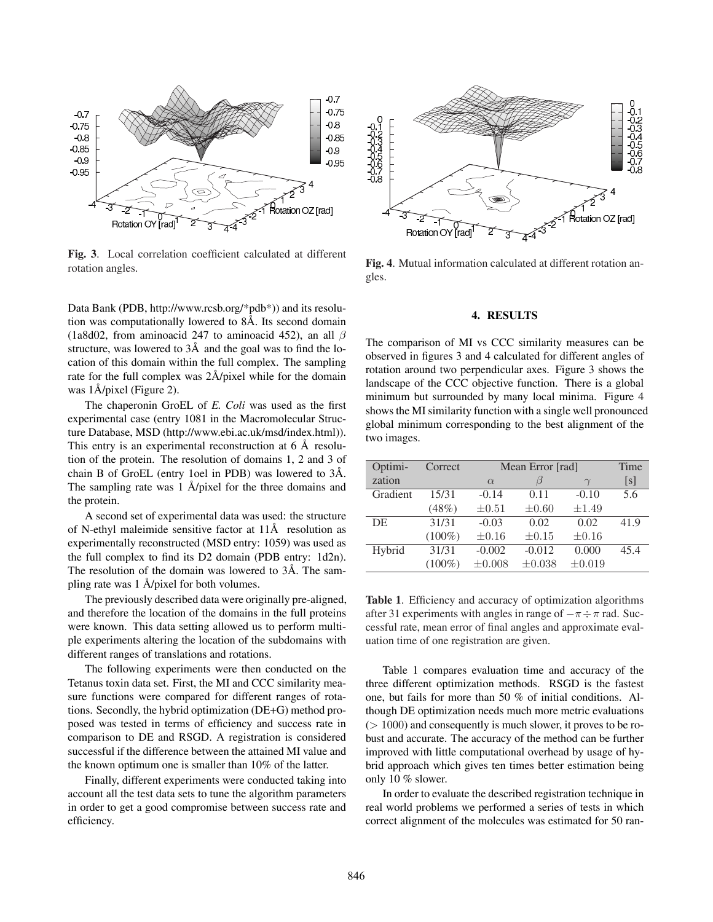

**Fig. 3**. Local correlation coefficient calculated at different rotation angles.

Data Bank (PDB, http://www.rcsb.org/\*pdb\*)) and its resolution was computationally lowered to 8Å. Its second domain (1a8d02, from aminoacid 247 to aminoacid 452), an all  $\beta$ structure, was lowered to  $3\text{\AA}$  and the goal was to find the location of this domain within the full complex. The sampling rate for the full complex was  $2\AA$ /pixel while for the domain was  $1$ Å/pixel (Figure 2).

The chaperonin GroEL of *E. Coli* was used as the first experimental case (entry 1081 in the Macromolecular Structure Database, MSD (http://www.ebi.ac.uk/msd/index.html)). This entry is an experimental reconstruction at  $6 \text{ Å}$  resolution of the protein. The resolution of domains 1, 2 and 3 of chain B of GroEL (entry 1oel in PDB) was lowered to  $3\AA$ . The sampling rate was 1  $\AA$ /pixel for the three domains and the protein.

A second set of experimental data was used: the structure of N-ethyl maleimide sensitive factor at  $11\text{\AA}$  resolution as experimentally reconstructed (MSD entry: 1059) was used as the full complex to find its D2 domain (PDB entry: 1d2n). The resolution of the domain was lowered to  $3\text{\AA}$ . The sampling rate was  $1 \text{ Å/pixel}$  for both volumes.

The previously described data were originally pre-aligned, and therefore the location of the domains in the full proteins were known. This data setting allowed us to perform multiple experiments altering the location of the subdomains with different ranges of translations and rotations.

The following experiments were then conducted on the Tetanus toxin data set. First, the MI and CCC similarity measure functions were compared for different ranges of rotations. Secondly, the hybrid optimization (DE+G) method proposed was tested in terms of efficiency and success rate in comparison to DE and RSGD. A registration is considered successful if the difference between the attained MI value and the known optimum one is smaller than 10% of the latter.

Finally, different experiments were conducted taking into account all the test data sets to tune the algorithm parameters in order to get a good compromise between success rate and efficiency.



**Fig. 4**. Mutual information calculated at different rotation angles.

## **4. RESULTS**

The comparison of MI vs CCC similarity measures can be observed in figures 3 and 4 calculated for different angles of rotation around two perpendicular axes. Figure 3 shows the landscape of the CCC objective function. There is a global minimum but surrounded by many local minima. Figure 4 shows the MI similarity function with a single well pronounced global minimum corresponding to the best alignment of the two images.

| Optimi-  | Correct   | Mean Error [rad] |             |             | Time |
|----------|-----------|------------------|-------------|-------------|------|
| zation   |           | $\alpha$         | $\beta$     | $\gamma$    | [s]  |
| Gradient | 15/31     | $-0.14$          | 0.11        | $-0.10$     | 5.6  |
|          | (48%)     | $\pm 0.51$       | $\pm 0.60$  | $\pm 1.49$  |      |
| DE       | 31/31     | $-0.03$          | 0.02        | 0.02        | 41.9 |
|          | $(100\%)$ | $\pm 0.16$       | $\pm 0.15$  | $\pm 0.16$  |      |
| Hybrid   | 31/31     | $-0.002$         | $-0.012$    | 0.000       | 45.4 |
|          | $(100\%)$ | $\pm 0.008$      | $\pm 0.038$ | $\pm 0.019$ |      |

**Table 1**. Efficiency and accuracy of optimization algorithms after 31 experiments with angles in range of  $-\pi \div \pi$  rad. Successful rate, mean error of final angles and approximate evaluation time of one registration are given.

Table 1 compares evaluation time and accuracy of the three different optimization methods. RSGD is the fastest one, but fails for more than 50 % of initial conditions. Although DE optimization needs much more metric evaluations  $(> 1000)$  and consequently is much slower, it proves to be robust and accurate. The accuracy of the method can be further improved with little computational overhead by usage of hybrid approach which gives ten times better estimation being only 10 % slower.

In order to evaluate the described registration technique in real world problems we performed a series of tests in which correct alignment of the molecules was estimated for 50 ran